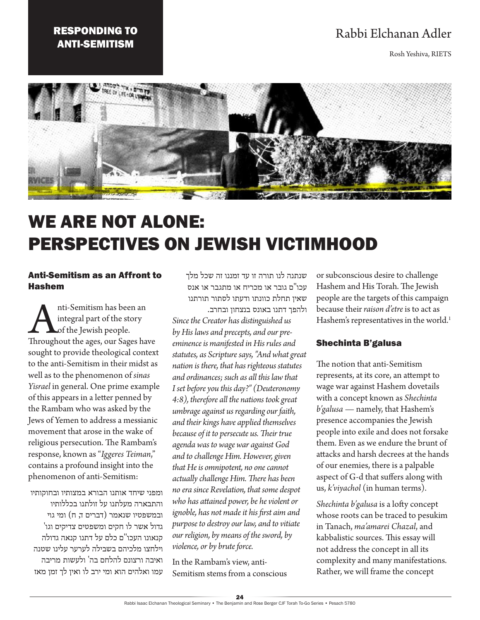# RESPONDING TO ANTI-SEMITISM

# Rabbi Elchanan Adler

Rosh Yeshiva, RIETS



# WE ARE NOT ALONE: PERSPECTIVES ON JEWISH VICTIMHOOD

#### Anti-Semitism as an Affront to Hashem

Anti-Semitism has been an<br>
integral part of the story<br>
of the Jewish people.<br>
Throughout the ages, our Sages have integral part of the story of the Jewish people. sought to provide theological context to the anti-Semitism in their midst as well as to the phenomenon of *sinas Yisrael* in general. One prime example of this appears in a letter penned by the Rambam who was asked by the Jews of Yemen to address a messianic movement that arose in the wake of religious persecution. The Rambam's response, known as "*Iggeres Teiman*," contains a profound insight into the phenomenon of anti-Semitism:

ומפני שיחד אותנו הבורא במצותיו ובחוקותיו והתבארה מעלתנו על זולתנו בכללותיו ובמשפטיו שנאמר (דברים ד, ח) ומי גוי גדול אשר לו חקים ומשפטים צדיקים וגו' קנאונו העכו''ם כלם על דתנו קנאה גדולה וילחצו מלכיהם בשבילה לערער עלינו שטנה ואיבה ורצונם להלחם בה' ולעשות מריבה עמו ואלהים הוא ומי ירב לו ואין לך זמן מאז

שנתנה לנו תורה זו עד זמננו זה שכל מלך עכו"ם גובר או מכריח או מתגבר או אנס שאין תחלת כוונתו ודעתו לסתור תורתנו ולהפך דתנו באונס בנצחון ובחרב.

*Since the Creator has distinguished us by His laws and precepts, and our preeminence is manifested in His rules and statutes, as Scripture says, "And what great nation is there, that has righteous statutes and ordinances; such as all this law that I set before you this day?" (Deuteronomy 4:8), therefore all the nations took great umbrage against us regarding our faith, and their kings have applied themselves because of it to persecute us. Their true agenda was to wage war against God and to challenge Him. However, given that He is omnipotent, no one cannot actually challenge Him. There has been no era since Revelation, that some despot who has attained power, be he violent or ignoble, has not made it his first aim and purpose to destroy our law, and to vitiate our religion, by means of the sword, by violence, or by brute force.*

In the Rambam's view, anti-Semitism stems from a conscious or subconscious desire to challenge Hashem and His Torah. The Jewish people are the targets of this campaign because their *raison d'etre* is to act as Hashem's representatives in the world.<sup>1</sup>

#### Shechinta B'galusa

The notion that anti-Semitism represents, at its core, an attempt to wage war against Hashem dovetails with a concept known as *Shechinta b'galusa* — namely, that Hashem's presence accompanies the Jewish people into exile and does not forsake them. Even as we endure the brunt of attacks and harsh decrees at the hands of our enemies, there is a palpable aspect of G-d that suffers along with us, *k'viyachol* (in human terms).

*Shechinta b'galusa* is a lofty concept whose roots can be traced to pesukim in Tanach, *ma'amarei Chazal*, and kabbalistic sources. This essay will not address the concept in all its complexity and many manifestations. Rather, we will frame the concept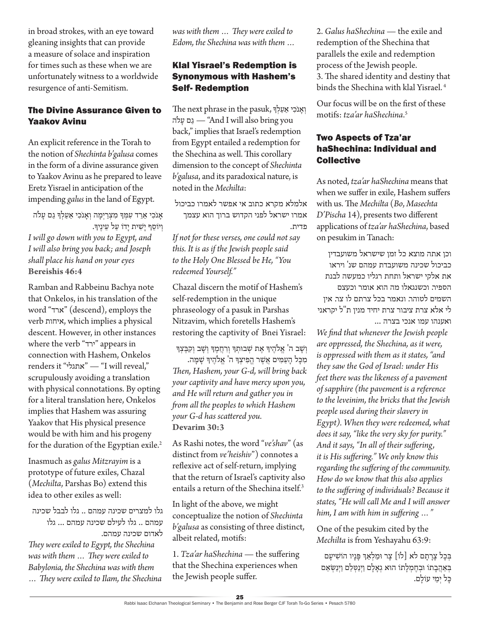in broad strokes, with an eye toward gleaning insights that can provide a measure of solace and inspiration for times such as these when we are unfortunately witness to a worldwide resurgence of anti-Semitism.

# The Divine Assurance Given to Yaakov Avinu

An explicit reference in the Torah to the notion of *Shechinta b'galusa* comes in the form of a divine assurance given to Yaakov Avinu as he prepared to leave Eretz Yisrael in anticipation of the impending *galus* in the land of Egypt.

אָנֹכִי אֵרֵד עִמְךָ מִצְרַיִמָה וְאָנֹכִי אַעַלְךָ גַם עָלֹה וְיוֹסֵף יַשִׁית יַדוֹ עַל עֵינֵיךָ. *I will go down with you to Egypt, and I will also bring you back; and Joseph shall place his hand on your eyes* **Bereishis 46:4**

Ramban and Rabbeinu Bachya note that Onkelos, in his translation of the word "ארד) "descend), employs the verb איחות, which implies a physical descent. However, in other instances where the verb "ירד" appears in connection with Hashem, Onkelos renders it "אתגלי" — "I will reveal," scrupulously avoiding a translation with physical connotations. By opting for a literal translation here, Onkelos implies that Hashem was assuring Yaakov that His physical presence would be with him and his progeny for the duration of the Egyptian exile.<sup>2</sup>

Inasmuch as *galus Mitzrayim* is a prototype of future exiles, Chazal (*Mechilta*, Parshas Bo) extend this idea to other exiles as well:

גלו למצרים שכינה עמהם .. גלו לבבל שכינה עמהם .. גלו לעילם שכינה עמהם ... גלו לאדום שכינה עמהם. *They were exiled to Egypt, the Shechina was with them … They were exiled to Babylonia, the Shechina was with them* 

*… They were exiled to Ilam, the Shechina* 

*was with them … They were exiled to Edom, the Shechina was with them …*

## Klal Yisrael's Redemption is Synonymous with Hashem's Self- Redemption

וְ אֲנֹכִי אֲעַלְךְּ The next phrase in the pasuk, להֹ ָע ם ַג" — And I will also bring you back," implies that Israel's redemption from Egypt entailed a redemption for the Shechina as well. This corollary dimension to the concept of *Shechinta b'galusa*, and its paradoxical nature, is noted in the *Mechilta*:

אלמלא מקרא כתוב אי אפשר לאמרו כביכול אמרו ישראל לפני הקדוש ברוך הוא עצמך פדית.

*If not for these verses, one could not say this. It is as if the Jewish people said to the Holy One Blessed be He, "You redeemed Yourself."*

Chazal discern the motif of Hashem's self-redemption in the unique phraseology of a pasuk in Parshas Nitzavim, which foretells Hashem's restoring the captivity of Bnei Yisrael:

וְשָׁב ה<sup>'</sup> אֱלֹהֵיךָ אֶת שְׁבוּתִךְ וְרִחֲמֶךְ וְשָׁב וְקִבֶּצְךָ מִכַּל הַעַמִּים אֲשֶׁר הֵפִיצְךָּ ה<sup>'</sup> אֱלֹהֵיךְ שַׁמֵּה. *Then, Hashem, your G-d, will bring back your captivity and have mercy upon you, and He will return and gather you in from all the peoples to which Hashem your G-d has scattered you.* **Devarim 30:3**

As Rashi notes, the word "*ve'shav*" (as distinct from *ve'heishiv*") connotes a reflexive act of self-return, implying that the return of Israel's captivity also entails a return of the Shechina itself.<sup>3</sup>

In light of the above, we might conceptualize the notion of *Shechinta b'galusa* as consisting of three distinct, albeit related, motifs:

1. *Tza'ar haShechina* — the suffering that the Shechina experiences when the Jewish people suffer.

2. *Galus haShechina* — the exile and redemption of the Shechina that parallels the exile and redemption process of the Jewish people. 3. The shared identity and destiny that binds the Shechina with klal Yisrael. 4

Our focus will be on the first of these motifs: *tza'ar haShechina*. 5

#### Two Aspects of Tza'ar haShechina: Individual and **Collective**

As noted, *tza'ar haShechina* means that when we suffer in exile, Hashem suffers with us. The *Mechilta* (*Bo*, *Masechta D'Pischa* 14), presents two different applications of *tza'ar haShechina*, based on pesukim in Tanach:

וכן אתה מוצא כל זמן שישראל משועבדין כביכול שכינה משועבדת עמהם שנ' ויראו את אלקי ישראל ותחת רגליו כמעשה לבנת הספיר. וכשנגאלו מה הוא אומר וכעצם השמים לטוהר. ונאמר בכל צרתם לו צר. אין לי אלא צרת ציבור צרת יחיד מנין ת"ל יקראני ואענהו עמו אנכי בצרה ...

*We find that whenever the Jewish people are oppressed, the Shechina, as it were, is oppressed with them as it states, "and they saw the God of Israel: under His feet there was the likeness of a pavement of sapphire (the pavement is a reference to the leveinim, the bricks that the Jewish people used during their slavery in Egypt). When they were redeemed, what does it say, "like the very sky for purity." And it says, "In all of their suffering, it is His suffering." We only know this regarding the suffering of the community. How do we know that this also applies to the suffering of individuals? Because it states, "He will call Me and I will answer him, I am with him in suffering …"*

One of the pesukim cited by the *Mechilta* is from Yeshayahu 63:9:

בְּכַל צַרַתַם לֹא [לֹוֹ] צַר וּמַלְאַךְ פַּנַיו הוֹשִׁיעַם בְאַהֲבָתוֹ וּבְחֶמְלָתוֹ הוּא גְאָלָם וַיְנַטְּלֵם וַיְנַשְׂאֵם כּל ימי עוֹלם.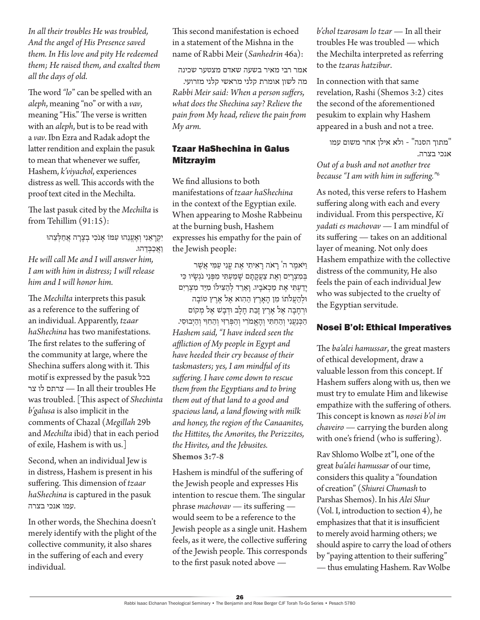*In all their troubles He was troubled, And the angel of His Presence saved them. In His love and pity He redeemed them; He raised them, and exalted them all the days of old.*

The word *"lo*" can be spelled with an *aleph*, meaning "no" or with a *vav*, meaning "His." The verse is written with an *aleph*, but is to be read with a *vav*. Ibn Ezra and Radak adopt the latter rendition and explain the pasuk to mean that whenever we suffer, Hashem, *k'viyachol*, experiences distress as well. This accords with the proof text cited in the Mechilta.

The last pasuk cited by the *Mechilta* is from Tehillim (91:15):

יִקְרָאֵנִי וְאֵעֱנֵהוּ עִמּוֹ אַנֹכִי בְצָרָה אֲחַלְצֵהוּ וַ אֲכַבְדֶ הוּ. *He will call Me and I will answer him, I am with him in distress; I will release him and I will honor him.*

The *Mechilta* interprets this pasuk as a reference to the suffering of an individual. Apparently, *tzaar haShechina* has two manifestations. The first relates to the suffering of the community at large, where the Shechina suffers along with it. This motif is expressed by the pasuk בכל צר לו צרתם — In all their troubles He was troubled. [This aspect of *Shechinta b'galusa* is also implicit in the comments of Chazal (*Megillah* 29b and *Mechilta* ibid) that in each period of exile, Hashem is with us.]

Second, when an individual Jew is in distress, Hashem is present in his suffering. This dimension of *tzaar haShechina* is captured in the pasuk .עמו אנכי בצרה

In other words, the Shechina doesn't merely identify with the plight of the collective community, it also shares in the suffering of each and every individual.

This second manifestation is echoed in a statement of the Mishna in the name of Rabbi Meir (*Sanhedrin* 46a):

אמר רבי מאיר בשעה שאדם מצטער שכינה

מה לשון אומרת קלני מראשי קלני מזרועי. *Rabbi Meir said: When a person suffers, what does the Shechina say? Relieve the pain from My head, relieve the pain from My arm.*

## Tzaar HaShechina in Galus Mitzrayim

We find allusions to both manifestations of *tzaar haShechina* in the context of the Egyptian exile. When appearing to Moshe Rabbeinu at the burning bush, Hashem expresses his empathy for the pain of the Jewish people:

וַ יֹאמֶ ר ה' רָ אֹה רָ אִ יתִ י אֶ ת עֳ נִ י עַ מִ י אֲ שֶ ר בְּמִצְרַיִם וְאֵת צַעֲקַתַם שַׁמַעָתִּי מִפְּנֵי נֹגְשָׂיו כִּי יָדַ עְ תִ י אֶ ת מַ כְ אֹבָ יו. וָ אֵ רֵ ד לְ הַ צִ ילֹו מִ יַ ד מִ צְ רַ יִם ּולְ הַ עֲ ֹלתֹו מִ ן הָ אָ רֶ ץ הַ הִ וא אֶ ל אֶ רֶ ץ טֹובָ ה וּרְחָבָה אֵל אָרֵץ זָבַת חָלָב וּדְבָשׁ אֵל מִקוֹם הַכְּנַעֲנִי וְהַחִתִּי וְהַאֱמֹרִי וְהַפְּרִזִּי וְהַחִוִּי וְהַיָּבוּסִי. *Hashem said, "I have indeed seen the affliction of My people in Egypt and have heeded their cry because of their taskmasters; yes, I am mindful of its suffering. I have come down to rescue them from the Egyptians and to bring them out of that land to a good and spacious land, a land flowing with milk and honey, the region of the Canaanites, the Hittites, the Amorites, the Perizzites, the Hivites, and the Jebusites.* **Shemos 3:7-8**

Hashem is mindful of the suffering of the Jewish people and expresses His intention to rescue them. The singular phrase *machovav* — its suffering would seem to be a reference to the Jewish people as a single unit. Hashem feels, as it were, the collective suffering of the Jewish people. This corresponds to the first pasuk noted above —

*b'chol tzarosam lo tzar* — In all their troubles He was troubled — which the Mechilta interpreted as referring to the *tzaras hatzibur*.

In connection with that same revelation, Rashi (Shemos 3:2) cites the second of the aforementioned pesukim to explain why Hashem appeared in a bush and not a tree.

"מתוך הסנה" - ולא אילן אחר משום עמו אנכי בצרה. *Out of a bush and not another tree* 

*because "I am with him in suffering."*<sup>6</sup>

As noted, this verse refers to Hashem suffering along with each and every individual. From this perspective, *Ki yadati es machovav* — I am mindful of its suffering — takes on an additional layer of meaning. Not only does Hashem empathize with the collective distress of the community, He also feels the pain of each individual Jew who was subjected to the cruelty of the Egyptian servitude.

## Nosei B'ol: Ethical Imperatives

The *ba'alei hamussar*, the great masters of ethical development, draw a valuable lesson from this concept. If Hashem suffers along with us, then we must try to emulate Him and likewise empathize with the suffering of others. This concept is known as *nosei b'ol im chaveiro* — carrying the burden along with one's friend (who is suffering).

Rav Shlomo Wolbe zt"l, one of the great *ba'alei hamussar* of our time, considers this quality a "foundation of creation" (*Shiurei Chumash* to Parshas Shemos). In his *Alei Shur* (Vol. I, introduction to section 4), he emphasizes that that it is insufficient to merely avoid harming others; we should aspire to carry the load of others by "paying attention to their suffering" — thus emulating Hashem. Rav Wolbe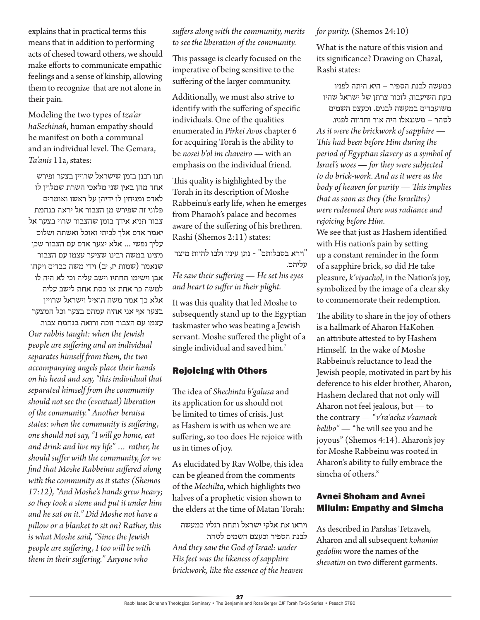explains that in practical terms this means that in addition to performing acts of chesed toward others, we should make efforts to communicate empathic feelings and a sense of kinship, allowing them to recognize that are not alone in their pain.

Modeling the two types of *tza'ar haSechinah*, human empathy should be manifest on both a communal and an individual level. The Gemara, *Ta'anis* 11a, states:

תנו רבנן בזמן שישראל שרויין בצער ופירש אחד מהן באין שני מלאכי השרת שמלוין לו לאדם ומניחין לו ידיהן על ראשו ואומרים פלוני זה שפירש מן הצבור אל יראה בנחמת צבור תניא אידך בזמן שהצבור שרוי בצער אל יאמר אדם אלך לביתי ואוכל ואשתה ושלום עליך נפשי ... אלא יצער אדם עם הצבור שכן מצינו במשה רבינו שציער עצמו עם הצבור שנאמר (שמות יז, יב) וידי משה כבדים ויקחו אבן וישימו תחתיו וישב עליה וכי לא היה לו למשה כר אחת או כסת אחת לישב עליה אלא כך אמר משה הואיל וישראל שרויין בצער אף אני אהיה עמהם בצער וכל המצער עצמו עם הצבור זוכה ורואה בנחמת צבור.

*Our rabbis taught: when the Jewish people are suffering and an individual separates himself from them, the two accompanying angels place their hands on his head and say, "this individual that separated himself from the community should not see the (eventual) liberation of the community." Another beraisa states: when the community is suffering, one should not say, "I will go home, eat and drink and live my life" … rather, he should suffer with the community, for we find that Moshe Rabbeinu suffered along with the community as it states (Shemos 17:12), "And Moshe's hands grew heavy; so they took a stone and put it under him and he sat on it." Did Moshe not have a pillow or a blanket to sit on? Rather, this is what Moshe said, "Since the Jewish people are suffering, I too will be with them in their suffering." Anyone who* 

*suffers along with the community, merits to see the liberation of the community.*

This passage is clearly focused on the imperative of being sensitive to the suffering of the larger community.

Additionally, we must also strive to identify with the suffering of specific individuals. One of the qualities enumerated in *Pirkei Avos* chapter 6 for acquiring Torah is the ability to be *nosei b'ol im chaveiro* — with an emphasis on the individual friend.

This quality is highlighted by the Torah in its description of Moshe Rabbeinu's early life, when he emerges from Pharaoh's palace and becomes aware of the suffering of his brethren. Rashi (Shemos 2:11) states:

"וירא בסבלותם" - נתן עיניו ולבו להיות מיצר עליהם.

*He saw their suffering — He set his eyes and heart to suffer in their plight.*

It was this quality that led Moshe to subsequently stand up to the Egyptian taskmaster who was beating a Jewish servant. Moshe suffered the plight of a single individual and saved him.<sup>7</sup>

#### Rejoicing with Others

The idea of *Shechinta b'galusa* and its application for us should not be limited to times of crisis. Just as Hashem is with us when we are suffering, so too does He rejoice with us in times of joy.

As elucidated by Rav Wolbe, this idea can be gleaned from the comments of the *Mechilta*, which highlights two halves of a prophetic vision shown to the elders at the time of Matan Torah:

ויראו את אלקי ישראל ותחת רגליו כמעשה לבנת הספיר וכעצם השמים לטהר. *And they saw the God of Israel: under His feet was the likeness of sapphire brickwork, like the essence of the heaven* 

#### *for purity.* (Shemos 24:10)

What is the nature of this vision and its significance? Drawing on Chazal, Rashi states:

כמעשה לבנת הספיר – היא היתה לפניו בעת השיעבוד, לזכור צרתן של ישראל שהיו משועבדים במעשה לבנים. וכעצם השמים

לטהר – משנגאלו היה אור וחדווה לפניו. *As it were the brickwork of sapphire — This had been before Him during the period of Egyptian slavery as a symbol of Israel's woes — for they were subjected to do brick-work. And as it were as the body of heaven for purity — This implies that as soon as they (the Israelites) were redeemed there was radiance and rejoicing before Him.*

We see that just as Hashem identified with His nation's pain by setting up a constant reminder in the form of a sapphire brick, so did He take pleasure, *k'viyachol*, in the Nation's joy, symbolized by the image of a clear sky to commemorate their redemption.

The ability to share in the joy of others is a hallmark of Aharon HaKohen – an attribute attested to by Hashem Himself. In the wake of Moshe Rabbeinu's reluctance to lead the Jewish people, motivated in part by his deference to his elder brother, Aharon, Hashem declared that not only will Aharon not feel jealous, but — to the contrary — "*v'ra'acha v'samach belibo"* — "he will see you and be joyous" (Shemos 4:14). Aharon's joy for Moshe Rabbeinu was rooted in Aharon's ability to fully embrace the simcha of others.<sup>8</sup>

#### Avnei Shoham and Avnei Miluim: Empathy and Simcha

As described in Parshas Tetzaveh, Aharon and all subsequent *kohanim gedolim* wore the names of the *shevatim* on two different garments.